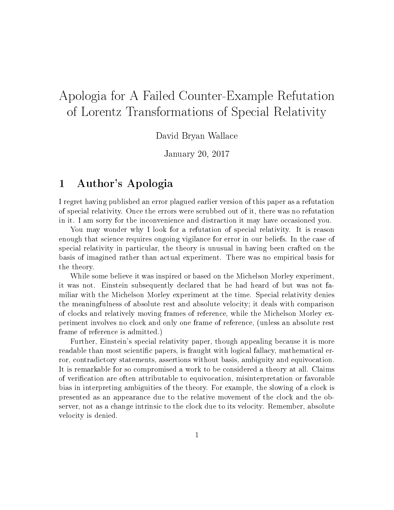# Apologia for A Failed Counter-Example Refutation of Lorentz Transformations of Special Relativity

David Bryan Wallace

January 20, 2017

# 1 Author's Apologia

I regret having published an error plagued earlier version of this paper as a refutation of special relativity. Once the errors were scrubbed out of it, there was no refutation in it. I am sorry for the inconvenience and distraction it may have occasioned you.

You may wonder why I look for a refutation of special relativity. It is reason enough that science requires ongoing vigilance for error in our beliefs. In the case of special relativity in particular, the theory is unusual in having been crafted on the basis of imagined rather than actual experiment. There was no empirical basis for the theory.

While some believe it was inspired or based on the Michelson Morley experiment, it was not. Einstein subsequently declared that he had heard of but was not familiar with the Michelson Morley experiment at the time. Special relativity denies the meaningfulness of absolute rest and absolute velocity; it deals with comparison of clocks and relatively moving frames of reference, while the Michelson Morley experiment involves no clock and only one frame of reference, (unless an absolute rest frame of reference is admitted.)

Further, Einstein's special relativity paper, though appealing because it is more readable than most scientific papers, is fraught with logical fallacy, mathematical error, contradictory statements, assertions without basis, ambiguity and equivocation. It is remarkable for so compromised a work to be considered a theory at all. Claims of verification are often attributable to equivocation, misinterpretation or favorable bias in interpreting ambiguities of the theory. For example, the slowing of a clock is presented as an appearance due to the relative movement of the clock and the observer, not as a change intrinsic to the clock due to its velocity. Remember, absolute velocity is denied.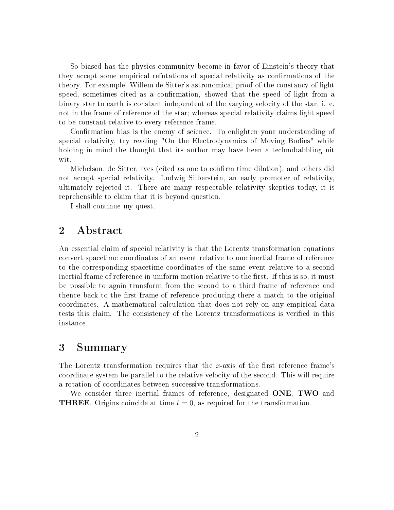So biased has the physics community become in favor of Einstein's theory that they accept some empirical refutations of special relativity as confirmations of the theory. For example, Willem de Sitter's astronomical proof of the constancy of light speed, sometimes cited as a confirmation, showed that the speed of light from a binary star to earth is constant independent of the varying velocity of the star, i. e. not in the frame of reference of the star; whereas special relativity claims light speed to be constant relative to every reference frame.

Confirmation bias is the enemy of science. To enlighten your understanding of special relativity, try reading "On the Electrodynamics of Moving Bodies" while holding in mind the thought that its author may have been a technobabbling nit wit.

Michelson, de Sitter, Ives (cited as one to confirm time dilation), and others did not accept special relativity. Ludwig Silberstein, an early promoter of relativity, ultimately rejected it. There are many respectable relativity skeptics today, it is reprehensible to claim that it is beyond question.

I shall continue my quest.

# 2 Abstract

An essential claim of special relativity is that the Lorentz transformation equations convert spacetime coordinates of an event relative to one inertial frame of reference to the corresponding spacetime coordinates of the same event relative to a second inertial frame of reference in uniform motion relative to the first. If this is so, it must be possible to again transform from the second to a third frame of reference and thence back to the first frame of reference producing there a match to the original coordinates. A mathematical calculation that does not rely on any empirical data tests this claim. The consistency of the Lorentz transformations is veried in this instance.

# 3 Summary

The Lorentz transformation requires that the x-axis of the first reference frame's coordinate system be parallel to the relative velocity of the second. This will require a rotation of coordinates between successive transformations.

We consider three inertial frames of reference, designated ONE, TWO and **THREE**. Origins coincide at time  $t = 0$ , as required for the transformation.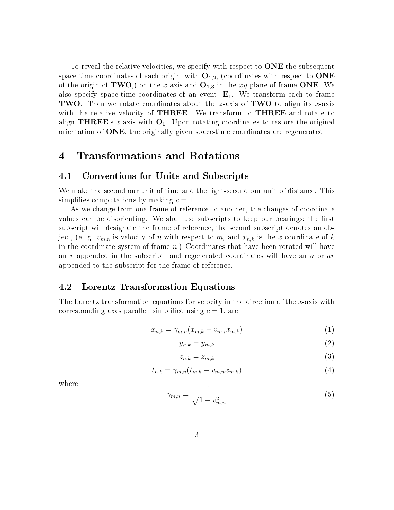To reveal the relative velocities, we specify with respect to **ONE** the subsequent space-time coordinates of each origin, with  $O_{1,2}$ , (coordinates with respect to ONE of the origin of TWO,) on the x-axis and  $O_{1,3}$  in the xy-plane of frame ONE. We also specify space-time coordinates of an event,  $E_1$ . We transform each to frame **TWO**. Then we rotate coordinates about the *z*-axis of **TWO** to align its *x*-axis with the relative velocity of **THREE**. We transform to **THREE** and rotate to align THREE's x-axis with  $O_1$ . Upon rotating coordinates to restore the original orientation of ONE, the originally given space-time coordinates are regenerated.

# 4 Transformations and Rotations

#### 4.1 Conventions for Units and Subscripts

We make the second our unit of time and the light-second our unit of distance. This simplifies computations by making  $c = 1$ 

As we change from one frame of reference to another, the changes of coordinate values can be disorienting. We shall use subscripts to keep our bearings; the first subscript will designate the frame of reference, the second subscript denotes an object, (e. g.  $v_{m,n}$  is velocity of n with respect to m, and  $x_{n,k}$  is the x-coordinate of k in the coordinate system of frame  $n$ .) Coordinates that have been rotated will have an r appended in the subscript, and regenerated coordinates will have an a or are appended to the subscript for the frame of reference.

#### 4.2 Lorentz Transformation Equations

The Lorentz transformation equations for velocity in the direction of the x-axis with corresponding axes parallel, simplified using  $c = 1$ , are:

$$
x_{n,k} = \gamma_{m,n}(x_{m,k} - v_{m,n}t_{m,k})
$$
\n<sup>(1)</sup>

$$
y_{n,k} = y_{m,k} \tag{2}
$$

$$
z_{n,k} = z_{m,k} \tag{3}
$$

$$
t_{n,k} = \gamma_{m,n}(t_{m,k} - v_{m,n}x_{m,k})
$$
\n<sup>(4)</sup>

where

$$
\gamma_{m,n} = \frac{1}{\sqrt{1 - v_{m,n}^2}}\tag{5}
$$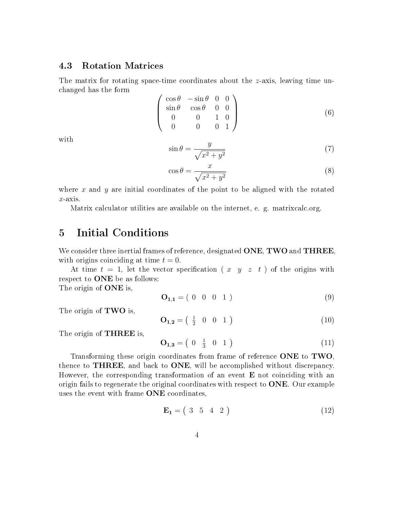#### 4.3 Rotation Matrices

The matrix for rotating space-time coordinates about the z-axis, leaving time unchanged has the form

$$
\begin{pmatrix}\n\cos \theta & -\sin \theta & 0 & 0 \\
\sin \theta & \cos \theta & 0 & 0 \\
0 & 0 & 1 & 0 \\
0 & 0 & 0 & 1\n\end{pmatrix}
$$
\n(6)

with

$$
\sin \theta = \frac{y}{\sqrt{x^2 + y^2}}\tag{7}
$$

$$
\cos \theta = \frac{x}{\sqrt{x^2 + y^2}}\tag{8}
$$

where x and y are initial coordinates of the point to be aligned with the rotated  $x$ -axis.

Matrix calculator utilities are available on the internet, e. g. matrixcalc.org.

# 5 Initial Conditions

We consider three inertial frames of reference, designated **ONE**, **TWO** and **THREE**, with origins coinciding at time  $t = 0$ .

At time  $t = 1$ , let the vector specification (x y z t) of the origins with respect to ONE be as follows:

The origin of **ONE** is,

<span id="page-3-1"></span>
$$
\mathbf{O}_{1,1} = (0 \ 0 \ 0 \ 1) \tag{9}
$$

The origin of **TWO** is,

<span id="page-3-0"></span>
$$
\mathbf{O}_{1,2} = \begin{pmatrix} \frac{1}{2} & 0 & 0 & 1 \end{pmatrix} \tag{10}
$$

The origin of **THREE** is,

<span id="page-3-2"></span>
$$
\mathbf{O}_{1,3} = \begin{pmatrix} 0 & \frac{1}{3} & 0 & 1 \end{pmatrix} \tag{11}
$$

Transforming these origin coordinates from frame of reference ONE to TWO. thence to THREE, and back to ONE, will be accomplished without discrepancy. However, the corresponding transformation of an event  $E$  not coinciding with an origin fails to regenerate the original coordinates with respect to  $\overline{ONE}$ . Our example uses the event with frame ONE coordinates,

<span id="page-3-3"></span>
$$
\mathbf{E_1} = \begin{pmatrix} 3 & 5 & 4 & 2 \end{pmatrix} \tag{12}
$$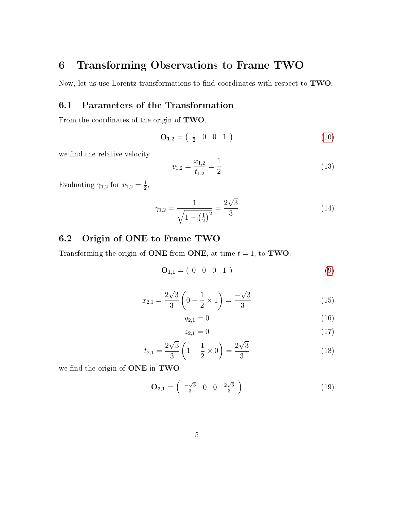# 6 Transforming Observations to Frame TWO

Now, let us use Lorentz transformations to find coordinates with respect to TWO.

## 6.1 Parameters of the Transformation

From the coordinates of the origin of TWO,

$$
\mathbf{O}_{1,2} = \begin{pmatrix} \frac{1}{2} & 0 & 0 & 1 \end{pmatrix} \tag{10}
$$

we find the relative velocity

$$
v_{1,2} = \frac{x_{1,2}}{t_{1,2}} = \frac{1}{2} \tag{13}
$$

Evaluating  $\gamma_{1,2}$  for  $v_{1,2} = \frac{1}{2}$  $\frac{1}{2}$ ,

$$
\gamma_{1,2} = \frac{1}{\sqrt{1 - \left(\frac{1}{2}\right)^2}} = \frac{2\sqrt{3}}{3} \tag{14}
$$

## 6.2 Origin of ONE to Frame TWO

Transforming the origin of ONE from ONE, at time  $t = 1$ , to TWO,

$$
\mathbf{O}_{1,1} = (0 \ 0 \ 0 \ 1) \tag{9}
$$

$$
x_{2,1} = \frac{2\sqrt{3}}{3} \left( 0 - \frac{1}{2} \times 1 \right) = \frac{-\sqrt{3}}{3} \tag{15}
$$

$$
y_{2,1} = 0 \tag{16}
$$

$$
z_{2,1} = 0 \tag{17}
$$

$$
t_{2,1} = \frac{2\sqrt{3}}{3} \left( 1 - \frac{1}{2} \times 0 \right) = \frac{2\sqrt{3}}{3} \tag{18}
$$

we find the origin of ONE in TWO

<span id="page-4-0"></span>
$$
\mathbf{O}_{2,1} = \begin{pmatrix} -\sqrt{3} & 0 & 0 & \frac{2\sqrt{3}}{3} \end{pmatrix} \tag{19}
$$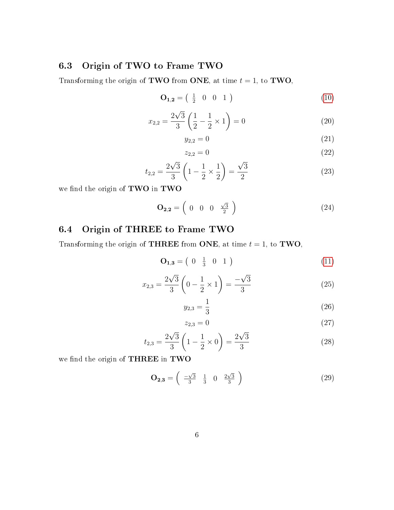### 6.3 Origin of TWO to Frame TWO

Transforming the origin of **TWO** from **ONE**, at time  $t = 1$ , to **TWO**,

$$
\mathbf{O}_{1,2} = \begin{pmatrix} \frac{1}{2} & 0 & 0 & 1 \end{pmatrix} \tag{10}
$$

$$
x_{2,2} = \frac{2\sqrt{3}}{3} \left( \frac{1}{2} - \frac{1}{2} \times 1 \right) = 0 \tag{20}
$$

$$
y_{2,2} = 0 \tag{21}
$$

$$
z_{2,2} = 0 \tag{22}
$$

$$
t_{2,2} = \frac{2\sqrt{3}}{3} \left( 1 - \frac{1}{2} \times \frac{1}{2} \right) = \frac{\sqrt{3}}{2} \tag{23}
$$

we find the origin of TWO in TWO

<span id="page-5-1"></span>
$$
\mathbf{O}_{2,2} = \left( \begin{array}{cccc} 0 & 0 & 0 & \frac{\sqrt{3}}{2} \end{array} \right) \tag{24}
$$

## 6.4 Origin of THREE to Frame TWO

Transforming the origin of **THREE** from **ONE**, at time  $t = 1$ , to **TWO**,

$$
\mathbf{O}_{1,3} = \begin{pmatrix} 0 & \frac{1}{3} & 0 & 1 \end{pmatrix} \tag{11}
$$

$$
x_{2,3} = \frac{2\sqrt{3}}{3} \left( 0 - \frac{1}{2} \times 1 \right) = \frac{-\sqrt{3}}{3} \tag{25}
$$

$$
y_{2,3} = \frac{1}{3} \tag{26}
$$

$$
z_{2,3} = 0 \tag{27}
$$

$$
t_{2,3} = \frac{2\sqrt{3}}{3} \left( 1 - \frac{1}{2} \times 0 \right) = \frac{2\sqrt{3}}{3} \tag{28}
$$

we find the origin of THREE in TWO

<span id="page-5-0"></span>
$$
\mathbf{O}_{2,3} = \begin{pmatrix} -\sqrt{3} & \frac{1}{3} & 0 & \frac{2\sqrt{3}}{3} \end{pmatrix} \tag{29}
$$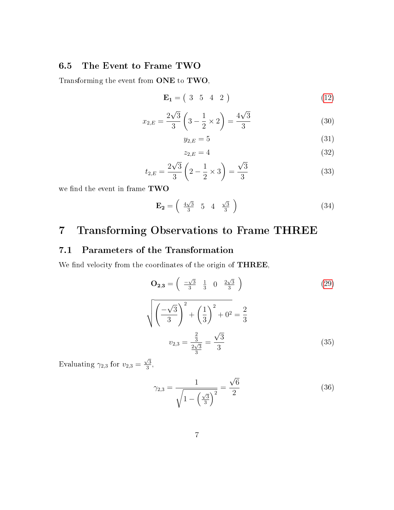### 6.5 The Event to Frame TWO

Transforming the event from ONE to TWO,

$$
\mathbf{E_1} = \begin{pmatrix} 3 & 5 & 4 & 2 \end{pmatrix} \tag{12}
$$

$$
x_{2,E} = \frac{2\sqrt{3}}{3} \left(3 - \frac{1}{2} \times 2\right) = \frac{4\sqrt{3}}{3} \tag{30}
$$

$$
y_{2,E} = 5\tag{31}
$$

$$
z_{2,E} = 4 \tag{32}
$$

$$
t_{2,E} = \frac{2\sqrt{3}}{3} \left(2 - \frac{1}{2} \times 3\right) = \frac{\sqrt{3}}{3} \tag{33}
$$

we find the event in frame TWO

<span id="page-6-0"></span>
$$
\mathbf{E_2} = \left(\begin{array}{ccc} \frac{4\sqrt{3}}{3} & 5 & 4 & \frac{\sqrt{3}}{3} \end{array}\right) \tag{34}
$$

# 7 Transforming Observations to Frame THREE

### 7.1 Parameters of the Transformation

We find velocity from the coordinates of the origin of THREE,

$$
\mathbf{O}_{2,3} = \left(\begin{array}{ccc}\n\frac{-\sqrt{3}}{3} & \frac{1}{3} & 0 & \frac{2\sqrt{3}}{3} \\
\frac{-\sqrt{3}}{3}\end{array}\right) \tag{29}
$$
\n
$$
\sqrt{\left(\frac{-\sqrt{3}}{3}\right)^2 + \left(\frac{1}{3}\right)^2 + 0^2} = \frac{2}{3}
$$
\n
$$
v_{2,3} = \frac{\frac{2}{3}}{\frac{2\sqrt{3}}{3}} = \frac{\sqrt{3}}{3} \tag{35}
$$

Evaluating  $\gamma_{2,3}$  for  $v_{2,3}$  =  $\sqrt{3}$  $\frac{73}{3}$ ,

$$
\gamma_{2,3} = \frac{1}{\sqrt{1 - \left(\frac{\sqrt{3}}{3}\right)^2}} = \frac{\sqrt{6}}{2}
$$
 (36)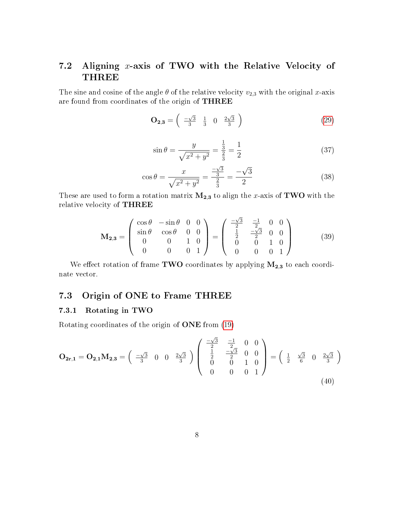# 7.2 Aligning x-axis of TWO with the Relative Velocity of THREE

The sine and cosine of the angle  $\theta$  of the relative velocity  $v_{2,3}$  with the original x-axis are found from coordinates of the origin of THREE

$$
\mathbf{O}_{2,3} = \begin{pmatrix} -\sqrt{3} & \frac{1}{3} & 0 & \frac{2\sqrt{3}}{3} \end{pmatrix} \tag{29}
$$

$$
\sin \theta = \frac{y}{\sqrt{x^2 + y^2}} = \frac{\frac{1}{3}}{\frac{2}{3}} = \frac{1}{2}
$$
\n(37)

$$
\cos \theta = \frac{x}{\sqrt{x^2 + y^2}} = \frac{-\sqrt{3}}{\frac{2}{3}} = \frac{-\sqrt{3}}{2}
$$
\n(38)

These are used to form a rotation matrix  $M_{2,3}$  to align the x-axis of TWO with the relative velocity of THREE

$$
\mathbf{M}_{2,3} = \begin{pmatrix} \cos \theta & -\sin \theta & 0 & 0 \\ \sin \theta & \cos \theta & 0 & 0 \\ 0 & 0 & 1 & 0 \\ 0 & 0 & 0 & 1 \end{pmatrix} = \begin{pmatrix} \frac{-\sqrt{3}}{2} & \frac{-1}{2} & 0 & 0 \\ \frac{1}{2} & \frac{-\sqrt{3}}{2} & 0 & 0 \\ 0 & 0 & 1 & 0 \\ 0 & 0 & 0 & 1 \end{pmatrix}
$$
(39)

We effect rotation of frame TWO coordinates by applying  $M_{2,3}$  to each coordinate vector.

### 7.3 Origin of ONE to Frame THREE

#### 7.3.1 Rotating in TWO

Rotating coordinates of the origin of ONE from [\(19\)](#page-4-0)

$$
\mathbf{O}_{2\mathbf{r},1} = \mathbf{O}_{2,1} \mathbf{M}_{2,3} = \begin{pmatrix} -\sqrt{3} & 0 & 0 & \frac{2\sqrt{3}}{3} \\ \frac{2\sqrt{3}}{3} & 0 & \frac{2\sqrt{3}}{3} \end{pmatrix} \begin{pmatrix} -\sqrt{3} & -1 & 0 & 0 \\ \frac{1}{2} & -\frac{\sqrt{3}}{2} & 0 & 0 \\ 0 & 0 & 1 & 0 \\ 0 & 0 & 0 & 1 \end{pmatrix} = \begin{pmatrix} \frac{1}{2} & \frac{\sqrt{3}}{6} & 0 & \frac{2\sqrt{3}}{3} \\ \frac{1}{2} & \frac{\sqrt{3}}{6} & 0 & \frac{2\sqrt{3}}{3} \end{pmatrix}
$$
\n(40)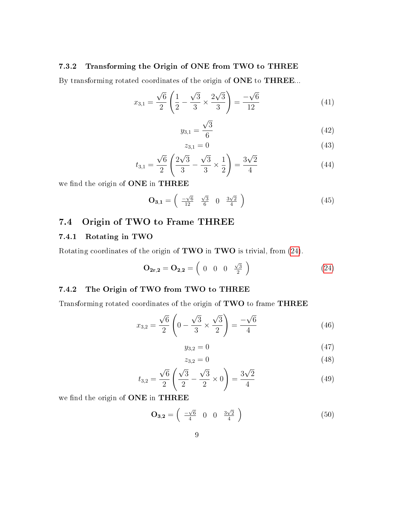#### 7.3.2 Transforming the Origin of ONE from TWO to THREE

By transforming rotated coordinates of the origin of ONE to THREE...

$$
x_{3,1} = \frac{\sqrt{6}}{2} \left( \frac{1}{2} - \frac{\sqrt{3}}{3} \times \frac{2\sqrt{3}}{3} \right) = \frac{-\sqrt{6}}{12} \tag{41}
$$

$$
y_{3,1} = \frac{\sqrt{3}}{6} \tag{42}
$$

$$
z_{3,1} = 0 \tag{43}
$$

$$
t_{3,1} = \frac{\sqrt{6}}{2} \left( \frac{2\sqrt{3}}{3} - \frac{\sqrt{3}}{3} \times \frac{1}{2} \right) = \frac{3\sqrt{2}}{4} \tag{44}
$$

we find the origin of ONE in THREE

<span id="page-8-0"></span>
$$
\mathbf{O}_{3,1} = \begin{pmatrix} -\sqrt{6} & \sqrt{3} & 0 & \frac{3\sqrt{2}}{4} \\ \frac{12}{2} & 6 & 0 & \frac{3\sqrt{2}}{4} \end{pmatrix} \tag{45}
$$

### 7.4 Origin of TWO to Frame THREE

#### 7.4.1 Rotating in TWO

Rotating coordinates of the origin of TWO in TWO is trivial, from [\(24\)](#page-5-1).

$$
\mathbf{O}_{2\mathbf{r},2} = \mathbf{O}_{2,2} = \begin{pmatrix} 0 & 0 & 0 & \frac{\sqrt{3}}{2} \end{pmatrix} \tag{24}
$$

#### 7.4.2 The Origin of TWO from TWO to THREE

Transforming rotated coordinates of the origin of TWO to frame THREE

$$
x_{3,2} = \frac{\sqrt{6}}{2} \left( 0 - \frac{\sqrt{3}}{3} \times \frac{\sqrt{3}}{2} \right) = \frac{-\sqrt{6}}{4} \tag{46}
$$

$$
y_{3,2} = 0 \tag{47}
$$

$$
z_{3,2} = 0 \tag{48}
$$

$$
t_{3,2} = \frac{\sqrt{6}}{2} \left( \frac{\sqrt{3}}{2} - \frac{\sqrt{3}}{2} \times 0 \right) = \frac{3\sqrt{2}}{4} \tag{49}
$$

we find the origin of ONE in THREE

<span id="page-8-1"></span>
$$
\mathbf{O}_{3,2} = \begin{pmatrix} -\sqrt{6} & 0 & 0 & \frac{3\sqrt{2}}{4} \end{pmatrix} \tag{50}
$$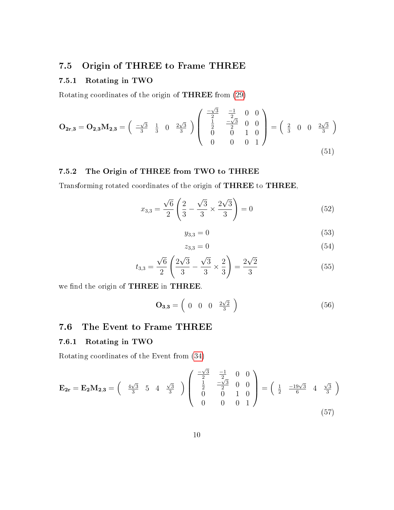### 7.5 Origin of THREE to Frame THREE

### 7.5.1 Rotating in TWO

Rotating coordinates of the origin of THREE from [\(29\)](#page-5-0)

$$
\mathbf{O}_{2r,3} = \mathbf{O}_{2,3} \mathbf{M}_{2,3} = \begin{pmatrix} -\sqrt{3} & \frac{1}{3} & 0 & \frac{2\sqrt{3}}{3} \\ \frac{1}{3} & \frac{1}{3} & 0 & \frac{2\sqrt{3}}{3} \end{pmatrix} \begin{pmatrix} -\frac{\sqrt{3}}{2} & \frac{-1}{2} & 0 & 0 \\ \frac{1}{2} & -\frac{\sqrt{3}}{2} & 0 & 0 \\ 0 & 0 & 1 & 0 \\ 0 & 0 & 0 & 1 \end{pmatrix} = \begin{pmatrix} \frac{2}{3} & 0 & 0 & \frac{2\sqrt{3}}{3} \\ \frac{1}{3} & 0 & \frac{2\sqrt{3}}{3} \end{pmatrix}
$$
\n(51)

### 7.5.2 The Origin of THREE from TWO to THREE

Transforming rotated coordinates of the origin of THREE to THREE,

$$
x_{3,3} = \frac{\sqrt{6}}{2} \left( \frac{2}{3} - \frac{\sqrt{3}}{3} \times \frac{2\sqrt{3}}{3} \right) = 0 \tag{52}
$$

$$
y_{3,3} = 0 \tag{53}
$$

$$
z_{3,3} = 0 \tag{54}
$$

$$
t_{3,3} = \frac{\sqrt{6}}{2} \left( \frac{2\sqrt{3}}{3} - \frac{\sqrt{3}}{3} \times \frac{2}{3} \right) = \frac{2\sqrt{2}}{3} \tag{55}
$$

we find the origin of THREE in THREE.

$$
\mathbf{O}_{3,3} = \left( \begin{array}{cccc} 0 & 0 & 0 & \frac{2\sqrt{2}}{3} \end{array} \right) \tag{56}
$$

## 7.6 The Event to Frame THREE

#### 7.6.1 Rotating in TWO

Rotating coordinates of the Event from [\(34\)](#page-6-0)

$$
\mathbf{E_{2r}} = \mathbf{E_2} \mathbf{M_{2,3}} = \begin{pmatrix} \frac{4\sqrt{3}}{3} & 5 & 4 & \frac{\sqrt{3}}{3} \\ 0 & 0 & 1 & 0 \\ 0 & 0 & 0 & 1 \end{pmatrix} \begin{pmatrix} \frac{-\sqrt{3}}{2} & \frac{-1}{2} & 0 & 0 \\ \frac{1}{2} & \frac{-\sqrt{3}}{2} & 0 & 0 \\ 0 & 0 & 1 & 0 \\ 0 & 0 & 0 & 1 \end{pmatrix} = \begin{pmatrix} \frac{1}{2} & \frac{-19\sqrt{3}}{6} & 4 & \frac{\sqrt{3}}{3} \\ 0 & 0 & 1 \end{pmatrix}
$$
(57)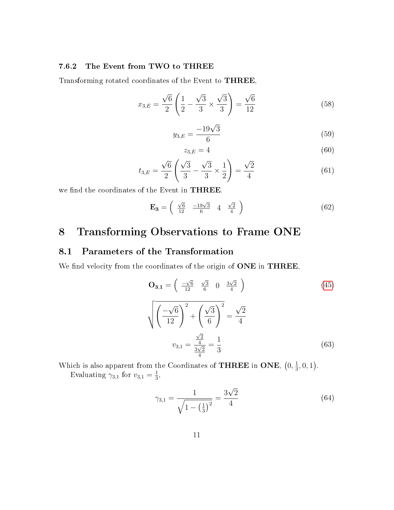#### 7.6.2 The Event from TWO to THREE

Transforming rotated coordinates of the Event to THREE,

$$
x_{3,E} = \frac{\sqrt{6}}{2} \left( \frac{1}{2} - \frac{\sqrt{3}}{3} \times \frac{\sqrt{3}}{3} \right) = \frac{\sqrt{6}}{12}
$$
 (58)

$$
y_{3,E} = \frac{-19\sqrt{3}}{6} \tag{59}
$$

$$
z_{3,E} = 4 \tag{60}
$$

$$
t_{3,E} = \frac{\sqrt{6}}{2} \left( \frac{\sqrt{3}}{3} - \frac{\sqrt{3}}{3} \times \frac{1}{2} \right) = \frac{\sqrt{2}}{4}
$$
 (61)

we find the coordinates of the Event in THREE.

$$
\mathbf{E_3} = \begin{pmatrix} \frac{\sqrt{6}}{12} & \frac{-19\sqrt{3}}{6} & 4 & \frac{\sqrt{2}}{4} \end{pmatrix} \tag{62}
$$

# 8 Transforming Observations to Frame ONE

### 8.1 Parameters of the Transformation

We find velocity from the coordinates of the origin of ONE in THREE,

$$
\mathbf{O}_{3,1} = \begin{pmatrix} \frac{-\sqrt{6}}{12} & \frac{\sqrt{3}}{6} & 0 & \frac{3\sqrt{2}}{4} \end{pmatrix}
$$
(45)  

$$
\sqrt{\left(\frac{-\sqrt{6}}{12}\right)^2 + \left(\frac{\sqrt{3}}{6}\right)^2} = \frac{\sqrt{2}}{4}
$$
  

$$
v_{3,1} = \frac{\frac{\sqrt{2}}{4}}{\frac{3\sqrt{2}}{4}} = \frac{1}{3}
$$
(63)

Which is also apparent from the Coordinates of **THREE** in ONE,  $(0, \frac{1}{3})$  $\frac{1}{3}, 0, 1$ . Evaluating  $\gamma_{3,1}$  for  $v_{3,1} = \frac{1}{3}$  $\frac{1}{3}$ ,

$$
\gamma_{3,1} = \frac{1}{\sqrt{1 - \left(\frac{1}{3}\right)^2}} = \frac{3\sqrt{2}}{4} \tag{64}
$$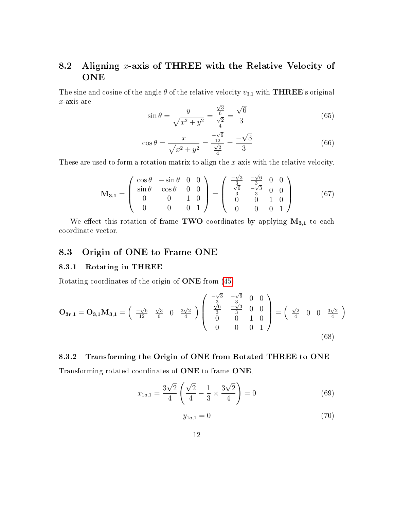# 8.2 Aligning  $x$ -axis of THREE with the Relative Velocity of **ONE**

The sine and cosine of the angle  $\theta$  of the relative velocity  $v_{3,1}$  with **THREE**'s original x-axis are √ √

$$
\sin \theta = \frac{y}{\sqrt{x^2 + y^2}} = \frac{\frac{\sqrt{3}}{6}}{\frac{\sqrt{2}}{4}} = \frac{\sqrt{6}}{3}
$$
(65)

$$
\cos \theta = \frac{x}{\sqrt{x^2 + y^2}} = \frac{\frac{-\sqrt{6}}{12}}{\frac{\sqrt{2}}{4}} = \frac{-\sqrt{3}}{3}
$$
(66)

These are used to form a rotation matrix to align the x-axis with the relative velocity.

$$
\mathbf{M}_{3,1} = \begin{pmatrix} \cos \theta & -\sin \theta & 0 & 0 \\ \sin \theta & \cos \theta & 0 & 0 \\ 0 & 0 & 1 & 0 \\ 0 & 0 & 0 & 1 \end{pmatrix} = \begin{pmatrix} \frac{-\sqrt{3}}{3} & \frac{-\sqrt{6}}{3} & 0 & 0 \\ \frac{\sqrt{6}}{3} & \frac{-\sqrt{3}}{3} & 0 & 0 \\ 0 & 0 & 1 & 0 \\ 0 & 0 & 0 & 1 \end{pmatrix}
$$
(67)

We effect this rotation of frame TWO coordinates by applying  $M_{3,1}$  to each coordinate vector.

### 8.3 Origin of ONE to Frame ONE

#### 8.3.1 Rotating in THREE

Rotating coordinates of the origin of ONE from [\(45\)](#page-8-0)

$$
\mathbf{O}_{3r,1} = \mathbf{O}_{3,1} \mathbf{M}_{3,1} = \begin{pmatrix} -\sqrt{6} & \sqrt{3} & 0 & \frac{3\sqrt{2}}{4} \\ \frac{7\sqrt{6}}{12} & \frac{6}{6} & 0 & \frac{3\sqrt{2}}{4} \end{pmatrix} \begin{pmatrix} -\frac{\sqrt{3}}{3} & \frac{-\sqrt{6}}{3} & 0 & 0 \\ \frac{\sqrt{6}}{3} & \frac{-\sqrt{3}}{3} & 0 & 0 \\ 0 & 0 & 1 & 0 \\ 0 & 0 & 0 & 1 \end{pmatrix} = \begin{pmatrix} \frac{\sqrt{2}}{4} & 0 & 0 & \frac{3\sqrt{2}}{4} \\ \end{pmatrix}
$$
(68)

#### 8.3.2 Transforming the Origin of ONE from Rotated THREE to ONE

Transforming rotated coordinates of ONE to frame ONE,

$$
x_{1a,1} = \frac{3\sqrt{2}}{4} \left( \frac{\sqrt{2}}{4} - \frac{1}{3} \times \frac{3\sqrt{2}}{4} \right) = 0 \tag{69}
$$

$$
y_{1a,1} = 0 \tag{70}
$$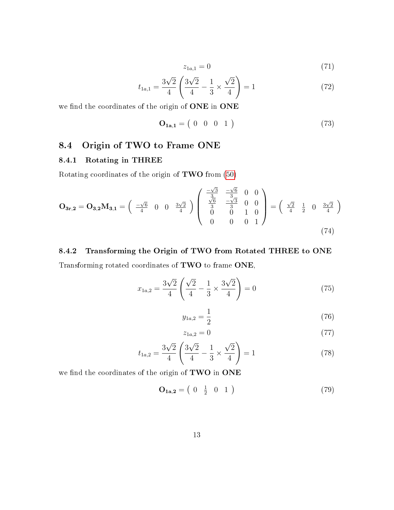$$
z_{1a,1} = 0 \tag{71}
$$

$$
t_{1a,1} = \frac{3\sqrt{2}}{4} \left( \frac{3\sqrt{2}}{4} - \frac{1}{3} \times \frac{\sqrt{2}}{4} \right) = 1 \tag{72}
$$

we find the coordinates of the origin of ONE in ONE

$$
\mathbf{O}_{1\mathbf{a},1} = \begin{pmatrix} 0 & 0 & 0 & 1 \end{pmatrix} \tag{73}
$$

### 8.4 Origin of TWO to Frame ONE

#### 8.4.1 Rotating in THREE

Rotating coordinates of the origin of TWO from [\(50\)](#page-8-1)

$$
\mathbf{O}_{3\mathbf{r},2} = \mathbf{O}_{3,2}\mathbf{M}_{3,1} = \begin{pmatrix} -\sqrt{6} & 0 & 0 & \frac{3\sqrt{2}}{4} \end{pmatrix} \begin{pmatrix} -\sqrt{3} & -\sqrt{6} & 0 & 0 \\ \frac{\sqrt{6}}{3} & -\frac{\sqrt{3}}{3} & 0 & 0 \\ 0 & 0 & 1 & 0 \\ 0 & 0 & 0 & 1 \end{pmatrix} = \begin{pmatrix} \frac{\sqrt{2}}{4} & \frac{1}{2} & 0 & \frac{3\sqrt{2}}{4} \\ \frac{\sqrt{2}}{4} & \frac{1}{2} & 0 & \frac{3\sqrt{2}}{4} \end{pmatrix}
$$
(74)

### 8.4.2 Transforming the Origin of TWO from Rotated THREE to ONE

Transforming rotated coordinates of TWO to frame ONE,

$$
x_{1a,2} = \frac{3\sqrt{2}}{4} \left( \frac{\sqrt{2}}{4} - \frac{1}{3} \times \frac{3\sqrt{2}}{4} \right) = 0 \tag{75}
$$

$$
y_{1a,2} = \frac{1}{2} \tag{76}
$$

$$
z_{1a,2} = 0 \tag{77}
$$

$$
t_{1a,2} = \frac{3\sqrt{2}}{4} \left( \frac{3\sqrt{2}}{4} - \frac{1}{3} \times \frac{\sqrt{2}}{4} \right) = 1 \tag{78}
$$

we find the coordinates of the origin of TWO in ONE

<span id="page-12-0"></span>
$$
\mathbf{O}_{1\mathbf{a},2} = \begin{pmatrix} 0 & \frac{1}{2} & 0 & 1 \end{pmatrix} \tag{79}
$$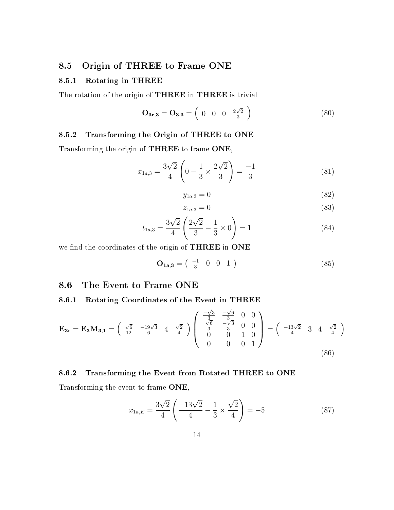### 8.5 Origin of THREE to Frame ONE

#### 8.5.1 Rotating in THREE

The rotation of the origin of THREE in THREE is trivial

$$
\mathbf{O}_{3r,3} = \mathbf{O}_{3,3} = \begin{pmatrix} 0 & 0 & 0 & \frac{2\sqrt{2}}{3} \end{pmatrix}
$$
 (80)

#### 8.5.2 Transforming the Origin of THREE to ONE

Transforming the origin of THREE to frame ONE,

$$
x_{1a,3} = \frac{3\sqrt{2}}{4} \left( 0 - \frac{1}{3} \times \frac{2\sqrt{2}}{3} \right) = \frac{-1}{3}
$$
 (81)

$$
y_{1a,3} = 0 \tag{82}
$$

$$
z_{1a,3} = 0 \tag{83}
$$

$$
t_{1a,3} = \frac{3\sqrt{2}}{4} \left( \frac{2\sqrt{2}}{3} - \frac{1}{3} \times 0 \right) = 1 \tag{84}
$$

we find the coordinates of the origin of THREE in ONE

$$
\mathbf{O_{1a,3}} = \begin{pmatrix} -1 & 0 & 0 & 1 \end{pmatrix} \tag{85}
$$

#### 8.6 The Event to Frame ONE

#### 8.6.1 Rotating Coordinates of the Event in THREE

$$
\mathbf{E}_{3r} = \mathbf{E}_{3}\mathbf{M}_{3,1} = \begin{pmatrix} \frac{\sqrt{6}}{12} & \frac{-19\sqrt{3}}{6} & 4 & \frac{\sqrt{2}}{4} \end{pmatrix} \begin{pmatrix} \frac{-\sqrt{3}}{3} & \frac{-\sqrt{6}}{3} & 0 & 0\\ \frac{\sqrt{6}}{3} & \frac{-\sqrt{3}}{3} & 0 & 0\\ 0 & 0 & 1 & 0\\ 0 & 0 & 0 & 1 \end{pmatrix} = \begin{pmatrix} \frac{-13\sqrt{2}}{4} & 3 & 4 & \frac{\sqrt{2}}{4} \end{pmatrix}
$$
\n(86)

#### 8.6.2 Transforming the Event from Rotated THREE to ONE

Transforming the event to frame ONE,

$$
x_{1a,E} = \frac{3\sqrt{2}}{4} \left( \frac{-13\sqrt{2}}{4} - \frac{1}{3} \times \frac{\sqrt{2}}{4} \right) = -5
$$
 (87)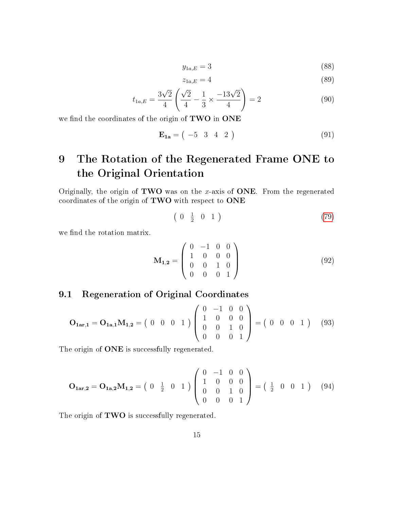$$
y_{1a,E} = 3\tag{88}
$$

$$
z_{1a,E} = 4 \tag{89}
$$

$$
t_{1a,E} = \frac{3\sqrt{2}}{4} \left( \frac{\sqrt{2}}{4} - \frac{1}{3} \times \frac{-13\sqrt{2}}{4} \right) = 2
$$
 (90)

we find the coordinates of the origin of TWO in ONE

$$
\mathbf{E}_{1a} = ( -5 \quad 3 \quad 4 \quad 2 ) \tag{91}
$$

# 9 The Rotation of the Regenerated Frame ONE to the Original Orientation

Originally, the origin of **TWO** was on the x-axis of **ONE**. From the regenerated coordinates of the origin of TWO with respect to ONE

$$
\left(\begin{array}{ccc} 0 & \frac{1}{2} & 0 & 1 \end{array}\right) \tag{79}
$$

we find the rotation matrix.

$$
\mathbf{M}_{1,2} = \begin{pmatrix} 0 & -1 & 0 & 0 \\ 1 & 0 & 0 & 0 \\ 0 & 0 & 1 & 0 \\ 0 & 0 & 0 & 1 \end{pmatrix}
$$
 (92)

### 9.1 Regeneration of Original Coordinates

$$
\mathbf{O}_{1\mathbf{a}\mathbf{r},1} = \mathbf{O}_{1\mathbf{a},1} \mathbf{M}_{1,2} = \begin{pmatrix} 0 & 0 & 0 & 1 \end{pmatrix} \begin{pmatrix} 0 & -1 & 0 & 0 \\ 1 & 0 & 0 & 0 \\ 0 & 0 & 1 & 0 \\ 0 & 0 & 0 & 1 \end{pmatrix} = \begin{pmatrix} 0 & 0 & 0 & 1 \end{pmatrix} \tag{93}
$$

The origin of **ONE** is successfully regenerated.

$$
\mathbf{O}_{1\mathbf{ar},2} = \mathbf{O}_{1\mathbf{a},2} \mathbf{M}_{1,2} = \begin{pmatrix} 0 & \frac{1}{2} & 0 & 1 \end{pmatrix} \begin{pmatrix} 0 & -1 & 0 & 0 \\ 1 & 0 & 0 & 0 \\ 0 & 0 & 1 & 0 \\ 0 & 0 & 0 & 1 \end{pmatrix} = \begin{pmatrix} \frac{1}{2} & 0 & 0 & 1 \end{pmatrix} \tag{94}
$$

The origin of **TWO** is successfully regenerated.